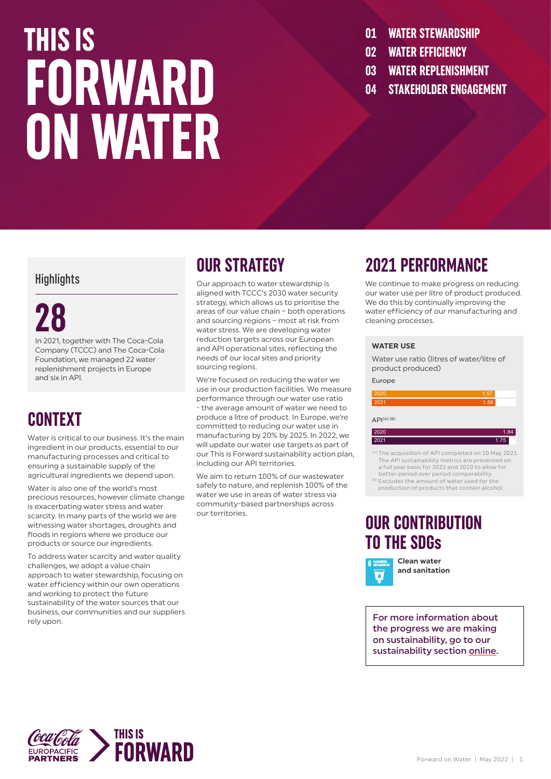### **THIS IS** FORWARD **ON WATER**

- **01 WATER STEWARDSHIP**
- **02 WATER EFFICIENCY**
- **03 WATER REPLENISHMENT**
- **04 STAKEHOLDER ENGAGEMENT**

#### **Highlights**

### **28**

In 2021, together with The Coca-Cola Company (TCCC) and The Coca-Cola Foundation, we managed 22 water replenishment projects in Europe and six in API.

#### **CONTEXT**

Water is critical to our business. It's the main ingredient in our products, essential to our manufacturing processes and critical to ensuring a sustainable supply of the agricultural ingredients we depend upon.

Water is also one of the world's most precious resources, however climate change is exacerbating water stress and water scarcity. In many parts of the world we are witnessing water shortages, droughts and floods in regions where we produce our products or source our ingredients.

To address water scarcity and water quality challenges, we adopt a value chain approach to water stewardship, focusing on water efficiency within our own operations and working to protect the future sustainability of the water sources that our business, our communities and our suppliers rely upon.

#### **OUR STRATEGY**

Our approach to water stewardship is aligned with TCCC's 2030 water security strategy, which allows us to prioritise the areas of our value chain – both operations and sourcing regions – most at risk from water stress. We are developing water reduction targets across our European and API operational sites, reflecting the needs of our local sites and priority sourcing regions.

We're focused on reducing the water we use in our production facilities. We measure performance through our water use ratio - the average amount of water we need to produce a litre of product. In Europe, we're committed to reducing our water use in manufacturing by 20% by 2025. In 2022, we will update our water use targets as part of our This is Forward sustainability action plan, including our API territories.

We aim to return 100% of our wastewater safely to nature, and replenish 100% of the water we use in areas of water stress via community-based partnerships across our territories.

#### **2021 PERFORMANCE**

We continue to make progress on reducing our water use per litre of product produced. We do this by continually improving the water efficiency of our manufacturing and cleaning processes.

#### **WATER USE**

Water use ratio (litres of water/litre of product produced)

#### Europe

| 2020 | 1.57 |
|------|------|
| 2021 | 1.58 |
|      |      |

 $API<sup>(A)(B)</sup>$ 

| 2020 | 1.84 |
|------|------|
| 2021 | 1.75 |
|      |      |

- (A) The acquisition of API completed on 10 May 2021. The API sustainability metrics are presented on a full year basis for 2021 and 2020 to allow for
- better period over period comparability.<br><sup>(B)</sup> Excludes the amount of water used for the production of products that contain alcohol.

#### **OUR CONTRIBUTION TO THE SDGs**



**Clean water and sanitation**

For more information about the progress we are making on sustainability, go to our sustainability section [online](https://www.cocacolaep.com/sustainability/download-centre/).

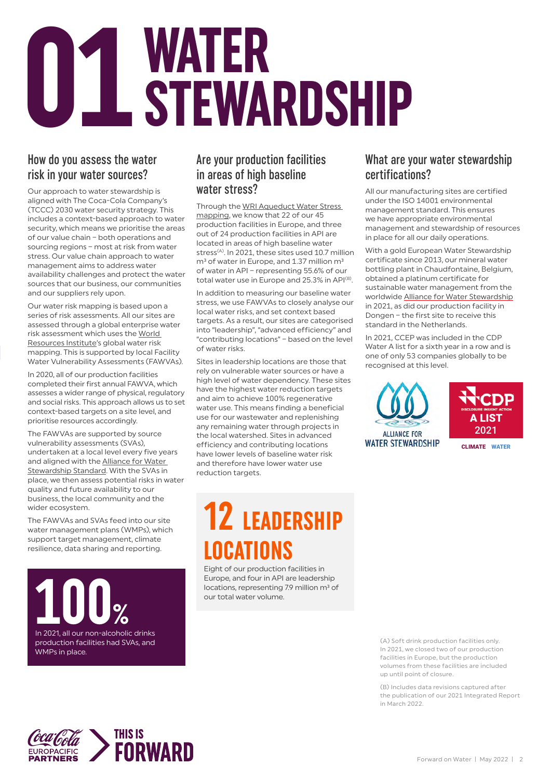# **WATER<br>STEWARDSHIP**

#### How do you assess the water risk in your water sources?

Our approach to water stewardship is aligned with The Coca-Cola Company's (TCCC) 2030 water security strategy. This includes a context-based approach to water security, which means we prioritise the areas of our value chain – both operations and sourcing regions – most at risk from water stress. Our value chain approach to water management aims to address water availability challenges and protect the water sources that our business, our communities and our suppliers rely upon.

Our water risk mapping is based upon a series of risk assessments. All our sites are assessed through a global enterprise water risk assessment which uses the [World](https://www.wri.org/)  [Resources Institute](https://www.wri.org/)'s global water risk mapping. This is supported by local Facility Water Vulnerability Assessments (FAWVAs).

In 2020, all of our production facilities completed their first annual FAWVA, which assesses a wider range of physical, regulatory and social risks. This approach allows us to set context-based targets on a site level, and prioritise resources accordingly.

The FAWVAs are supported by source vulnerability assessments (SVAs), undertaken at a local level every five years and aligned with the [Alliance for Water](https://a4ws.org/the-aws-standard-2-0/)  [Stewardship Standard.](https://a4ws.org/the-aws-standard-2-0/) With the SVAs in place, we then assess potential risks in water quality and future availability to our business, the local community and the wider ecosystem.

The FAWVAs and SVAs feed into our site water management plans (WMPs), which support target management, climate resilience, data sharing and reporting.

**100%**<br>
In 2021, all our non-alcoholic drinks production facilities had SVAs, and WMPs in place.

#### Are your production facilities in areas of high baseline water stress?

Through the [WRI Aqueduct Water Stress](https://www.wri.org/aqueduct)  [mapping,](https://www.wri.org/aqueduct) we know that 22 of our 45 production facilities in Europe, and three out of 24 production facilities in API are located in areas of high baseline water stress<sup>(A)</sup>. In 2021, these sites used 10.7 million  $m<sup>3</sup>$  of water in Europe, and 1.37 million  $m<sup>3</sup>$ of water in API – representing 55.6% of our total water use in Europe and 25.3% in API<sup>(B)</sup>.

In addition to measuring our baseline water stress, we use FAWVAs to closely analyse our local water risks, and set context based targets. As a result, our sites are categorised into "leadership", "advanced efficiency" and "contributing locations" – based on the level of water risks.

Sites in leadership locations are those that rely on vulnerable water sources or have a high level of water dependency. These sites have the highest water reduction targets and aim to achieve 100% regenerative water use. This means finding a beneficial use for our wastewater and replenishing any remaining water through projects in the local watershed. Sites in advanced efficiency and contributing locations have lower levels of baseline water risk and therefore have lower water use reduction targets.

### **12 LEADERSHIP LOCATIONS**

Eight of our production facilities in Europe, and four in API are leadership locations, representing 7.9 million m<sup>3</sup> of our total water volume.

#### What are your water stewardship certifications?

All our manufacturing sites are certified under the ISO 14001 environmental management standard. This ensures we have appropriate environmental management and stewardship of resources in place for all our daily operations.

With a gold European Water Stewardship certificate since 2013, our mineral water bottling plant in Chaudfontaine, Belgium, obtained a platinum certificate for sustainable water management from the worldwide **[Alliance for Water Stewardship](https://a4ws.org/)** in 2021, as did our production facility in Dongen – the first site to receive this standard in the Netherlands.

In 2021, CCEP was included in the CDP Water A list for a sixth year in a row and is one of only 53 companies globally to be recognised at this level.





CLIMATE WATER

(A) Soft drink production facilities only. In 2021, we closed two of our production facilities in Europe, but the production volumes from these facilities are included up until point of closure.

(B) Includes data revisions captured after the publication of our 2021 Integrated Report in March 2022.

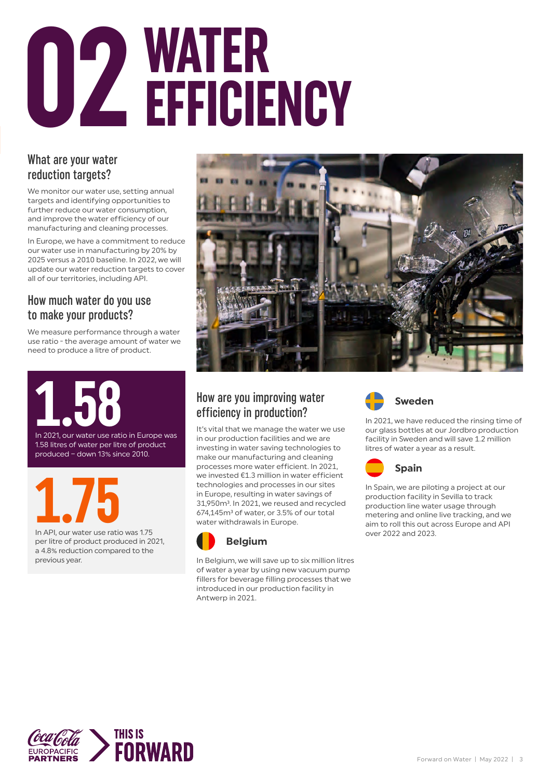# **WATER**<br>EFFICIENCY

#### What are your water reduction targets?

We monitor our water use, setting annual targets and identifying opportunities to further reduce our water consumption, and improve the water efficiency of our manufacturing and cleaning processes.

In Europe, we have a commitment to reduce our water use in manufacturing by 20% by 2025 versus a 2010 baseline. In 2022, we will update our water reduction targets to cover all of our territories, including API.

#### How much water do you use to make your products?

We measure performance through a water use ratio - the average amount of water we need to produce a litre of product.



In API, our water use ratio was 1.75

per litre of product produced in 2021, a 4.8% reduction compared to the previous year.



#### How are you improving water efficiency in production?

It's vital that we manage the water we use in our production facilities and we are investing in water saving technologies to make our manufacturing and cleaning processes more water efficient. In 2021, we invested €1.3 million in water efficient technologies and processes in our sites in Europe, resulting in water savings of 31,950m<sup>3</sup>. In 2021, we reused and recycled 674.145m<sup>3</sup> of water, or 3.5% of our total water withdrawals in Europe.



In Belgium, we will save up to six million litres of water a year by using new vacuum pump fillers for beverage filling processes that we introduced in our production facility in Antwerp in 2021.



In 2021, we have reduced the rinsing time of our glass bottles at our Jordbro production facility in Sweden and will save 1.2 million litres of water a year as a result.



In Spain, we are piloting a project at our production facility in Sevilla to track production line water usage through metering and online live tracking, and we aim to roll this out across Europe and API over 2022 and 2023.

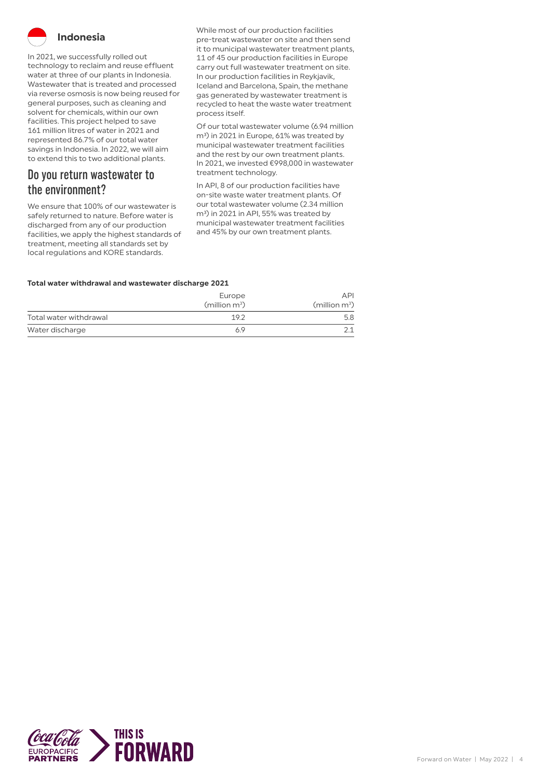

In 2021, we successfully rolled out technology to reclaim and reuse effluent water at three of our plants in Indonesia. Wastewater that is treated and processed via reverse osmosis is now being reused for general purposes, such as cleaning and solvent for chemicals, within our own facilities. This project helped to save 161 million litres of water in 2021 and represented 86.7% of our total water savings in Indonesia. In 2022, we will aim to extend this to two additional plants.

#### Do you return wastewater to the environment?

We ensure that 100% of our wastewater is safely returned to nature. Before water is discharged from any of our production facilities, we apply the highest standards of treatment, meeting all standards set by local regulations and KORE standards.

While most of our production facilities pre-treat wastewater on site and then send it to municipal wastewater treatment plants, 11 of 45 our production facilities in Europe carry out full wastewater treatment on site. In our production facilities in Reykjavik, Iceland and Barcelona, Spain, the methane gas generated by wastewater treatment is recycled to heat the waste water treatment process itself.

Of our total wastewater volume (6.94 million m<sup>3</sup>) in 2021 in Europe, 61% was treated by municipal wastewater treatment facilities and the rest by our own treatment plants. In 2021, we invested €998,000 in wastewater treatment technology.

In API, 8 of our production facilities have on-site waste water treatment plants. Of our total wastewater volume (2.34 million m<sup>3</sup>) in 2021 in API, 55% was treated by municipal wastewater treatment facilities and 45% by our own treatment plants.

#### **Total water withdrawal and wastewater discharge 2021**

|                        | Europe<br>(million m <sup>3</sup> ) | <b>API</b><br>(million m <sup>3</sup> ) |
|------------------------|-------------------------------------|-----------------------------------------|
| Total water withdrawal | 19.2                                | 5.8                                     |
| Water discharge        | 6.9                                 |                                         |

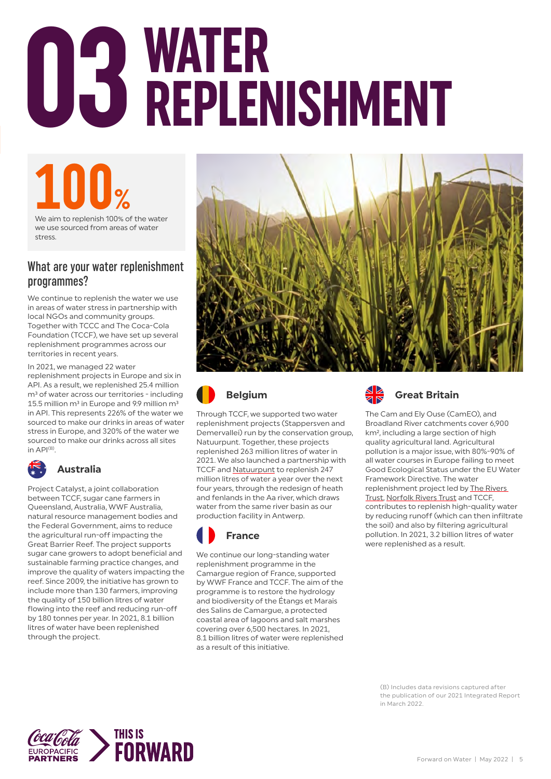# **WATER 03 REPLENISHMENT**

### **100%**<br>We aim to replenish 100% of the water

we use sourced from areas of water stress.

#### What are your water replenishment programmes?

We continue to replenish the water we use in areas of water stress in partnership with local NGOs and community groups. Together with TCCC and The Coca-Cola Foundation (TCCF), we have set up several replenishment programmes across our territories in recent years.

In 2021, we managed 22 water replenishment projects in Europe and six in API. As a result, we replenished 25.4 million m<sup>3</sup> of water across our territories - including 15.5 million  $m<sup>3</sup>$  in Europe and 9.9 million  $m<sup>3</sup>$ in API. This represents 226% of the water we sourced to make our drinks in areas of water stress in Europe, and 320% of the water we sourced to make our drinks across all sites in  $API^{(B)}$ 



#### **Australia**

Project Catalyst, a joint collaboration between TCCF, sugar cane farmers in Queensland, Australia, WWF Australia, natural resource management bodies and the Federal Government, aims to reduce the agricultural run-off impacting the Great Barrier Reef. The project supports sugar cane growers to adopt beneficial and sustainable farming practice changes, and improve the quality of waters impacting the reef. Since 2009, the initiative has grown to include more than 130 farmers, improving the quality of 150 billion litres of water flowing into the reef and reducing run-off by 180 tonnes per year. In 2021, 8.1 billion litres of water have been replenished through the project.





Through TCCF, we supported two water replenishment projects (Stappersven and Demervallei) run by the conservation group, Natuurpunt. Together, these projects replenished 263 million litres of water in 2021. We also launched a partnership with TCCF and [Natuurpunt](https://www.natuurpunt.be) to replenish 247 million litres of water a year over the next four years, through the redesign of heath and fenlands in the Aa river, which draws water from the same river basin as our production facility in Antwerp.



We continue our long-standing water replenishment programme in the Camargue region of France, supported by WWF France and TCCF. The aim of the programme is to restore the hydrology and biodiversity of the Étangs et Marais des Salins de Camargue, a protected coastal area of lagoons and salt marshes covering over 6,500 hectares. In 2021, 8.1 billion litres of water were replenished as a result of this initiative.



The Cam and Ely Ouse (CamEO), and Broadland River catchments cover 6,900 km², including a large section of high quality agricultural land. Agricultural pollution is a major issue, with 80%-90% of all water courses in Europe failing to meet Good Ecological Status under the EU Water Framework Directive. The water replenishment project led by [The Rivers](https://theriverstrust.org/)  [Trust](https://theriverstrust.org/), [Norfolk Rivers Trust](https://norfolkriverstrust.org/) and TCCF, contributes to replenish high-quality water by reducing runoff (which can then infiltrate the soil) and also by filtering agricultural pollution. In 2021, 3.2 billion litres of water were replenished as a result.

(B) Includes data revisions captured after the publication of our 2021 Integrated Report in March 2022.

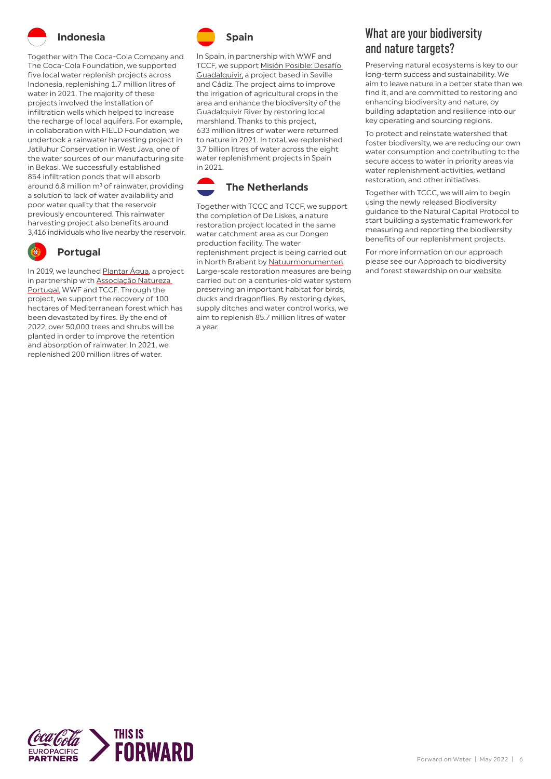

#### **Indonesia**

Together with The Coca-Cola Company and The Coca-Cola Foundation, we supported five local water replenish projects across Indonesia, replenishing 1.7 million litres of water in 2021. The majority of these projects involved the installation of infiltration wells which helped to increase the recharge of local aquifers. For example, in collaboration with FIELD Foundation, we undertook a rainwater harvesting project in Jatiluhur Conservation in West Java, one of the water sources of our manufacturing site in Bekasi. We successfully established 854 infiltration ponds that will absorb around 6,8 million m<sup>3</sup> of rainwater, providing a solution to lack of water availability and poor water quality that the reservoir previously encountered. This rainwater harvesting project also benefits around 3,416 individuals who live nearby the reservoir.



#### **Portugal**

In 2019, we launched [Plantar Água,](https://www.natureza-portugal.org/o_que_fazemos_222/agua_/plantar_agua/) a project in partnership with [Associação Natureza](https://www.natureza-portugal.org/o_que_fazemos_222/agua_/plantar_agua/)  [Portugal,](https://www.natureza-portugal.org/o_que_fazemos_222/agua_/plantar_agua/) WWF and TCCF. Through the project, we support the recovery of 100 hectares of Mediterranean forest which has been devastated by fires. By the end of 2022, over 50,000 trees and shrubs will be planted in order to improve the retention and absorption of rainwater. In 2021, we replenished 200 million litres of water.



In Spain, in partnership with WWF and TCCF, we support [Misión Posible: Desafío](https://www.wwf.es/colabora/empresas_por_el_planeta/grandes_proyectos_con_empresas/mision_posible_desafio_guadalquivir/)  [Guadalquivir,](https://www.wwf.es/colabora/empresas_por_el_planeta/grandes_proyectos_con_empresas/mision_posible_desafio_guadalquivir/) a project based in Seville and Cádiz. The project aims to improve the irrigation of agricultural crops in the area and enhance the biodiversity of the Guadalquivir River by restoring local marshland. Thanks to this project, 633 million litres of water were returned to nature in 2021. In total, we replenished 3.7 billion litres of water across the eight water replenishment projects in Spain in 2021.



Together with TCCC and TCCF, we support the completion of De Liskes, a nature restoration project located in the same water catchment area as our Dongen production facility. The water replenishment project is being carried out in North Brabant by [Natuurmonumenten.](https://www.natuurmonumenten.nl/) Large-scale restoration measures are being carried out on a centuries-old water system preserving an important habitat for birds, ducks and dragonflies. By restoring dykes, supply ditches and water control works, we aim to replenish 85.7 million litres of water a year.

#### What are your biodiversity and nature targets?

Preserving natural ecosystems is key to our long-term success and sustainability. We aim to leave nature in a better state than we find it, and are committed to restoring and enhancing biodiversity and nature, by building adaptation and resilience into our key operating and sourcing regions.

To protect and reinstate watershed that foster biodiversity, we are reducing our own water consumption and contributing to the secure access to water in priority areas via water replenishment activities, wetland restoration, and other initiatives.

Together with TCCC, we will aim to begin using the newly released Biodiversity guidance to the Natural Capital Protocol to start building a systematic framework for measuring and reporting the biodiversity benefits of our replenishment projects.

For more information on our approach please see our Approach to biodiversity and forest stewardship on our [website.](https://www.cocacolaep.com/sustainability/download-centre/)